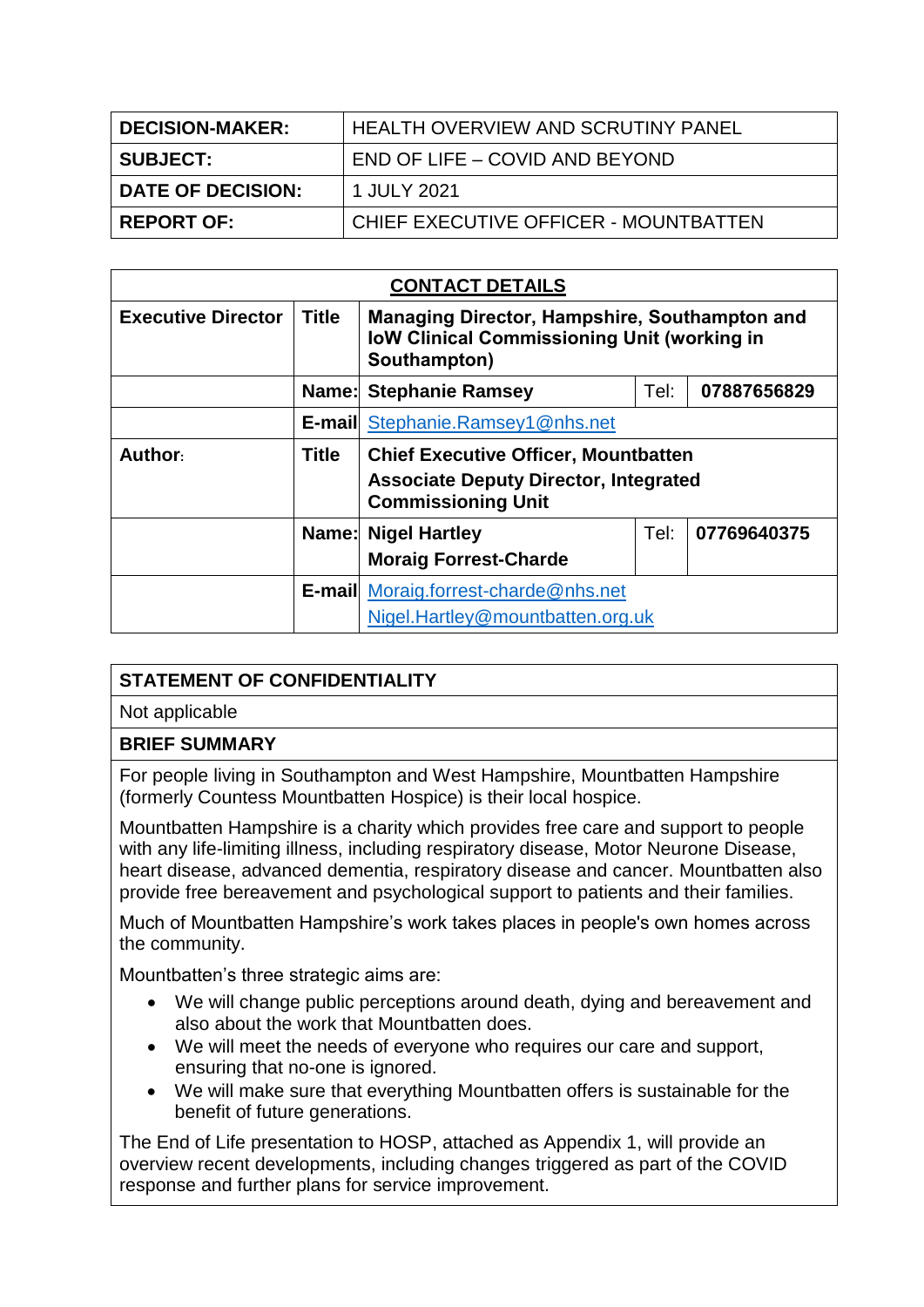| <b>DECISION-MAKER:</b> | LHEALTH OVERVIEW AND SCRUTINY PANEL   |  |  |
|------------------------|---------------------------------------|--|--|
| <b>SUBJECT:</b>        | END OF LIFE – COVID AND BEYOND        |  |  |
| DATE OF DECISION:      | 1 JULY 2021                           |  |  |
| <b>REPORT OF:</b>      | CHIEF EXECUTIVE OFFICER - MOUNTBATTEN |  |  |

| <b>CONTACT DETAILS</b>    |              |                                                                                                                     |      |             |  |
|---------------------------|--------------|---------------------------------------------------------------------------------------------------------------------|------|-------------|--|
| <b>Executive Director</b> | <b>Title</b> | Managing Director, Hampshire, Southampton and<br><b>IoW Clinical Commissioning Unit (working in</b><br>Southampton) |      |             |  |
|                           | Name:        | <b>Stephanie Ramsey</b>                                                                                             | Tel: | 07887656829 |  |
|                           |              | <b>E-mail Stephanie.Ramsey1@nhs.net</b>                                                                             |      |             |  |
| Author:                   | Title        | <b>Chief Executive Officer, Mountbatten</b>                                                                         |      |             |  |
|                           |              | <b>Associate Deputy Director, Integrated</b><br><b>Commissioning Unit</b>                                           |      |             |  |
|                           |              | <b>Name: Nigel Hartley</b>                                                                                          | Tel: | 07769640375 |  |
|                           |              | <b>Moraig Forrest-Charde</b>                                                                                        |      |             |  |
|                           |              | <b>E-mail</b> Moraig.forrest-charde@nhs.net<br>Nigel.Hartley@mountbatten.org.uk                                     |      |             |  |
|                           |              |                                                                                                                     |      |             |  |

## **STATEMENT OF CONFIDENTIALITY**

Not applicable

## **BRIEF SUMMARY**

For people living in Southampton and West Hampshire, Mountbatten Hampshire (formerly Countess Mountbatten Hospice) is their local hospice.

Mountbatten Hampshire is a charity which provides free care and support to people with any life-limiting illness, including respiratory disease, Motor Neurone Disease, heart disease, advanced dementia, respiratory disease and cancer. Mountbatten also provide free bereavement and psychological support to patients and their families.

Much of Mountbatten Hampshire's work takes places in people's own homes across the community.

Mountbatten's three strategic aims are:

- We will change public perceptions around death, dying and bereavement and also about the work that Mountbatten does.
- We will meet the needs of everyone who requires our care and support, ensuring that no-one is ignored.
- We will make sure that everything Mountbatten offers is sustainable for the benefit of future generations.

The End of Life presentation to HOSP, attached as Appendix 1, will provide an overview recent developments, including changes triggered as part of the COVID response and further plans for service improvement.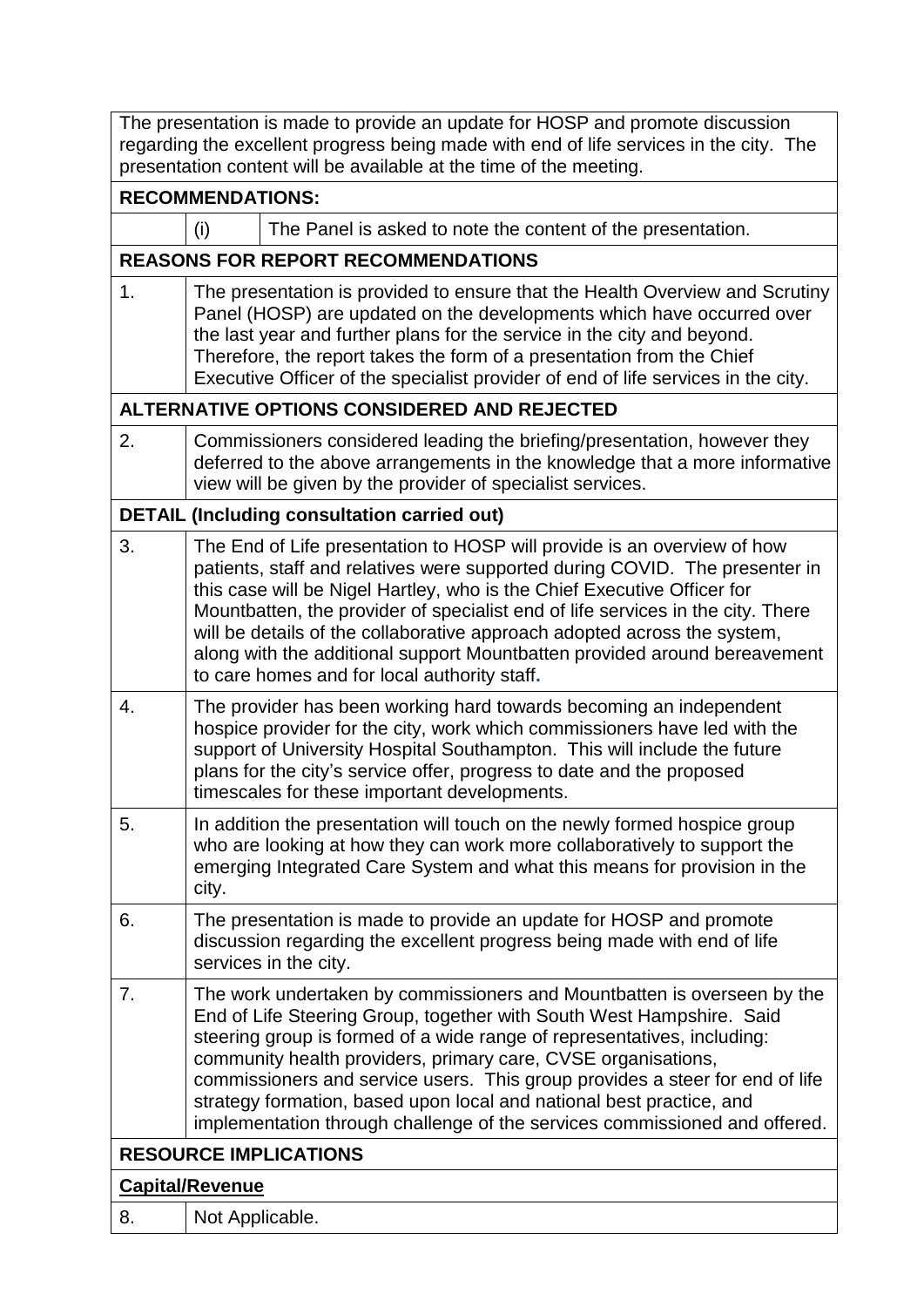| The presentation is made to provide an update for HOSP and promote discussion<br>regarding the excellent progress being made with end of life services in the city. The<br>presentation content will be available at the time of the meeting. |                                                                                                                                                                                                                                                                                                                                                                                                |                                                                                                                                                                                                                                                                                                                                                                                                                                                                                                                                   |  |  |
|-----------------------------------------------------------------------------------------------------------------------------------------------------------------------------------------------------------------------------------------------|------------------------------------------------------------------------------------------------------------------------------------------------------------------------------------------------------------------------------------------------------------------------------------------------------------------------------------------------------------------------------------------------|-----------------------------------------------------------------------------------------------------------------------------------------------------------------------------------------------------------------------------------------------------------------------------------------------------------------------------------------------------------------------------------------------------------------------------------------------------------------------------------------------------------------------------------|--|--|
| <b>RECOMMENDATIONS:</b>                                                                                                                                                                                                                       |                                                                                                                                                                                                                                                                                                                                                                                                |                                                                                                                                                                                                                                                                                                                                                                                                                                                                                                                                   |  |  |
|                                                                                                                                                                                                                                               | (i)                                                                                                                                                                                                                                                                                                                                                                                            | The Panel is asked to note the content of the presentation.                                                                                                                                                                                                                                                                                                                                                                                                                                                                       |  |  |
|                                                                                                                                                                                                                                               |                                                                                                                                                                                                                                                                                                                                                                                                | <b>REASONS FOR REPORT RECOMMENDATIONS</b>                                                                                                                                                                                                                                                                                                                                                                                                                                                                                         |  |  |
| 1.                                                                                                                                                                                                                                            | The presentation is provided to ensure that the Health Overview and Scrutiny<br>Panel (HOSP) are updated on the developments which have occurred over<br>the last year and further plans for the service in the city and beyond.<br>Therefore, the report takes the form of a presentation from the Chief<br>Executive Officer of the specialist provider of end of life services in the city. |                                                                                                                                                                                                                                                                                                                                                                                                                                                                                                                                   |  |  |
|                                                                                                                                                                                                                                               |                                                                                                                                                                                                                                                                                                                                                                                                | ALTERNATIVE OPTIONS CONSIDERED AND REJECTED                                                                                                                                                                                                                                                                                                                                                                                                                                                                                       |  |  |
| 2.                                                                                                                                                                                                                                            | Commissioners considered leading the briefing/presentation, however they<br>deferred to the above arrangements in the knowledge that a more informative<br>view will be given by the provider of specialist services.                                                                                                                                                                          |                                                                                                                                                                                                                                                                                                                                                                                                                                                                                                                                   |  |  |
|                                                                                                                                                                                                                                               |                                                                                                                                                                                                                                                                                                                                                                                                | <b>DETAIL (Including consultation carried out)</b>                                                                                                                                                                                                                                                                                                                                                                                                                                                                                |  |  |
| 3.                                                                                                                                                                                                                                            |                                                                                                                                                                                                                                                                                                                                                                                                | The End of Life presentation to HOSP will provide is an overview of how<br>patients, staff and relatives were supported during COVID. The presenter in<br>this case will be Nigel Hartley, who is the Chief Executive Officer for<br>Mountbatten, the provider of specialist end of life services in the city. There<br>will be details of the collaborative approach adopted across the system,<br>along with the additional support Mountbatten provided around bereavement<br>to care homes and for local authority staff.     |  |  |
| 4.                                                                                                                                                                                                                                            |                                                                                                                                                                                                                                                                                                                                                                                                | The provider has been working hard towards becoming an independent<br>hospice provider for the city, work which commissioners have led with the<br>support of University Hospital Southampton. This will include the future<br>plans for the city's service offer, progress to date and the proposed<br>timescales for these important developments.                                                                                                                                                                              |  |  |
| 5.                                                                                                                                                                                                                                            | city.                                                                                                                                                                                                                                                                                                                                                                                          | In addition the presentation will touch on the newly formed hospice group<br>who are looking at how they can work more collaboratively to support the<br>emerging Integrated Care System and what this means for provision in the                                                                                                                                                                                                                                                                                                 |  |  |
| 6.                                                                                                                                                                                                                                            |                                                                                                                                                                                                                                                                                                                                                                                                | The presentation is made to provide an update for HOSP and promote<br>discussion regarding the excellent progress being made with end of life<br>services in the city.                                                                                                                                                                                                                                                                                                                                                            |  |  |
| 7.                                                                                                                                                                                                                                            |                                                                                                                                                                                                                                                                                                                                                                                                | The work undertaken by commissioners and Mountbatten is overseen by the<br>End of Life Steering Group, together with South West Hampshire. Said<br>steering group is formed of a wide range of representatives, including:<br>community health providers, primary care, CVSE organisations,<br>commissioners and service users. This group provides a steer for end of life<br>strategy formation, based upon local and national best practice, and<br>implementation through challenge of the services commissioned and offered. |  |  |
| <b>RESOURCE IMPLICATIONS</b>                                                                                                                                                                                                                  |                                                                                                                                                                                                                                                                                                                                                                                                |                                                                                                                                                                                                                                                                                                                                                                                                                                                                                                                                   |  |  |
| <b>Capital/Revenue</b>                                                                                                                                                                                                                        |                                                                                                                                                                                                                                                                                                                                                                                                |                                                                                                                                                                                                                                                                                                                                                                                                                                                                                                                                   |  |  |
| 8.                                                                                                                                                                                                                                            | Not Applicable.                                                                                                                                                                                                                                                                                                                                                                                |                                                                                                                                                                                                                                                                                                                                                                                                                                                                                                                                   |  |  |